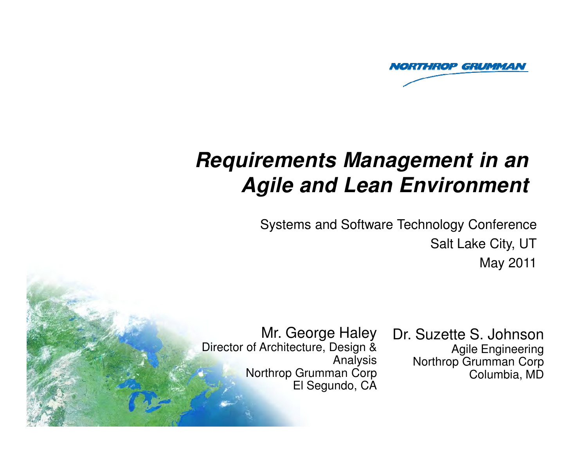

# **Requirements Management in an Agile and Lean Environment**

Systems and Software Technology ConferenceSalt Lake City, UTMay 2011

Mr. George Haley Director of Architecture, Design & Analysis Northrop Grumman CorpEl Segundo, CA

Copyright 2011 Northrop Grumman Corporation

 $\mathcal{P}_\text{max} = \mathcal{P}_\text{max}$ 

Dr. Suzette S. Johnson Agile Engineering Northrop Grumman CorpColumbia, MD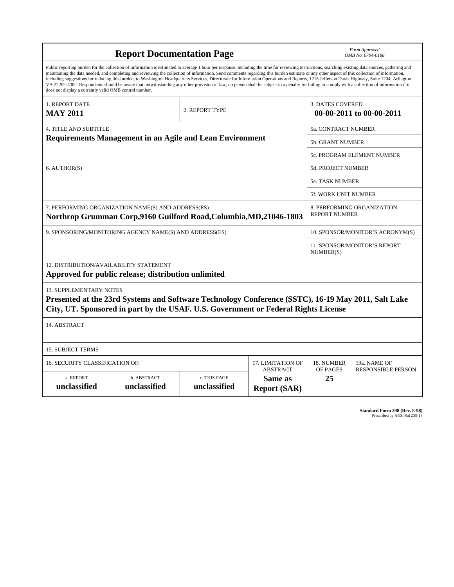|                                                                                                                                                                                                                                                                                                                                                                                                                                                                                                                                                                                                                                                                                                                                                                                                                                                                    | Form Approved<br>OMB No. 0704-0188 |                                                     |                                                   |                |                                                  |  |  |  |
|--------------------------------------------------------------------------------------------------------------------------------------------------------------------------------------------------------------------------------------------------------------------------------------------------------------------------------------------------------------------------------------------------------------------------------------------------------------------------------------------------------------------------------------------------------------------------------------------------------------------------------------------------------------------------------------------------------------------------------------------------------------------------------------------------------------------------------------------------------------------|------------------------------------|-----------------------------------------------------|---------------------------------------------------|----------------|--------------------------------------------------|--|--|--|
| Public reporting burden for the collection of information is estimated to average 1 hour per response, including the time for reviewing instructions, searching existing data sources, gathering and<br>maintaining the data needed, and completing and reviewing the collection of information. Send comments regarding this burden estimate or any other aspect of this collection of information,<br>including suggestions for reducing this burden, to Washington Headquarters Services, Directorate for Information Operations and Reports, 1215 Jefferson Davis Highway, Suite 1204, Arlington<br>VA 22202-4302. Respondents should be aware that notwithstanding any other provision of law, no person shall be subject to a penalty for failing to comply with a collection of information if it<br>does not display a currently valid OMB control number. |                                    |                                                     |                                                   |                |                                                  |  |  |  |
| 1. REPORT DATE<br><b>MAY 2011</b>                                                                                                                                                                                                                                                                                                                                                                                                                                                                                                                                                                                                                                                                                                                                                                                                                                  |                                    | <b>3. DATES COVERED</b><br>00-00-2011 to 00-00-2011 |                                                   |                |                                                  |  |  |  |
| <b>4. TITLE AND SUBTITLE</b>                                                                                                                                                                                                                                                                                                                                                                                                                                                                                                                                                                                                                                                                                                                                                                                                                                       | 5a. CONTRACT NUMBER                |                                                     |                                                   |                |                                                  |  |  |  |
| <b>Requirements Management in an Agile and Lean Environment</b>                                                                                                                                                                                                                                                                                                                                                                                                                                                                                                                                                                                                                                                                                                                                                                                                    |                                    |                                                     |                                                   |                | <b>5b. GRANT NUMBER</b>                          |  |  |  |
|                                                                                                                                                                                                                                                                                                                                                                                                                                                                                                                                                                                                                                                                                                                                                                                                                                                                    | 5c. PROGRAM ELEMENT NUMBER         |                                                     |                                                   |                |                                                  |  |  |  |
| 6. AUTHOR(S)                                                                                                                                                                                                                                                                                                                                                                                                                                                                                                                                                                                                                                                                                                                                                                                                                                                       |                                    | <b>5d. PROJECT NUMBER</b>                           |                                                   |                |                                                  |  |  |  |
|                                                                                                                                                                                                                                                                                                                                                                                                                                                                                                                                                                                                                                                                                                                                                                                                                                                                    |                                    |                                                     |                                                   |                | <b>5e. TASK NUMBER</b>                           |  |  |  |
|                                                                                                                                                                                                                                                                                                                                                                                                                                                                                                                                                                                                                                                                                                                                                                                                                                                                    |                                    |                                                     |                                                   |                | <b>5f. WORK UNIT NUMBER</b>                      |  |  |  |
| 7. PERFORMING ORGANIZATION NAME(S) AND ADDRESS(ES)<br>8. PERFORMING ORGANIZATION<br><b>REPORT NUMBER</b><br>Northrop Grumman Corp,9160 Guilford Road, Columbia, MD,21046-1803                                                                                                                                                                                                                                                                                                                                                                                                                                                                                                                                                                                                                                                                                      |                                    |                                                     |                                                   |                |                                                  |  |  |  |
| 9. SPONSORING/MONITORING AGENCY NAME(S) AND ADDRESS(ES)                                                                                                                                                                                                                                                                                                                                                                                                                                                                                                                                                                                                                                                                                                                                                                                                            |                                    | 10. SPONSOR/MONITOR'S ACRONYM(S)                    |                                                   |                |                                                  |  |  |  |
|                                                                                                                                                                                                                                                                                                                                                                                                                                                                                                                                                                                                                                                                                                                                                                                                                                                                    |                                    |                                                     |                                                   |                | <b>11. SPONSOR/MONITOR'S REPORT</b><br>NUMBER(S) |  |  |  |
| 12. DISTRIBUTION/AVAILABILITY STATEMENT<br>Approved for public release; distribution unlimited                                                                                                                                                                                                                                                                                                                                                                                                                                                                                                                                                                                                                                                                                                                                                                     |                                    |                                                     |                                                   |                |                                                  |  |  |  |
| <b>13. SUPPLEMENTARY NOTES</b><br>Presented at the 23rd Systems and Software Technology Conference (SSTC), 16-19 May 2011, Salt Lake<br>City, UT. Sponsored in part by the USAF. U.S. Government or Federal Rights License                                                                                                                                                                                                                                                                                                                                                                                                                                                                                                                                                                                                                                         |                                    |                                                     |                                                   |                |                                                  |  |  |  |
| 14. ABSTRACT                                                                                                                                                                                                                                                                                                                                                                                                                                                                                                                                                                                                                                                                                                                                                                                                                                                       |                                    |                                                     |                                                   |                |                                                  |  |  |  |
| <b>15. SUBJECT TERMS</b>                                                                                                                                                                                                                                                                                                                                                                                                                                                                                                                                                                                                                                                                                                                                                                                                                                           |                                    |                                                     |                                                   |                |                                                  |  |  |  |
| 16. SECURITY CLASSIFICATION OF:                                                                                                                                                                                                                                                                                                                                                                                                                                                                                                                                                                                                                                                                                                                                                                                                                                    |                                    | 17. LIMITATION OF                                   | 18. NUMBER                                        | 19a. NAME OF   |                                                  |  |  |  |
| a. REPORT<br>unclassified                                                                                                                                                                                                                                                                                                                                                                                                                                                                                                                                                                                                                                                                                                                                                                                                                                          | b. ABSTRACT<br>unclassified        | c. THIS PAGE<br>unclassified                        | <b>ABSTRACT</b><br>Same as<br><b>Report (SAR)</b> | OF PAGES<br>25 | <b>RESPONSIBLE PERSON</b>                        |  |  |  |

**Standard Form 298 (Rev. 8-98)**<br>Prescribed by ANSI Std Z39-18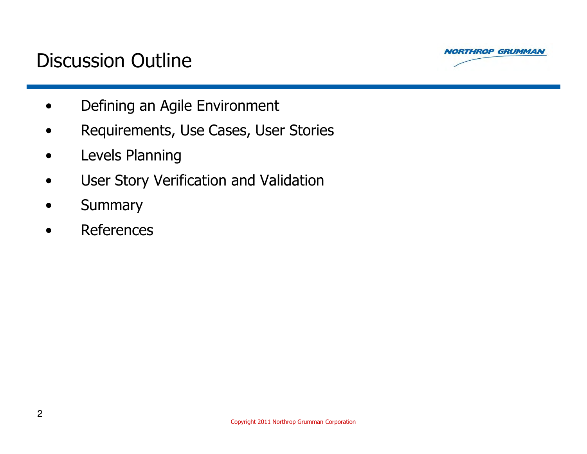



- •Defining an Agile Environment
- •Requirements, Use Cases, User Stories
- $\bullet$ Levels Planning
- $\bullet$ User Story Verification and Validation
- $\bullet$ **Summary**
- •References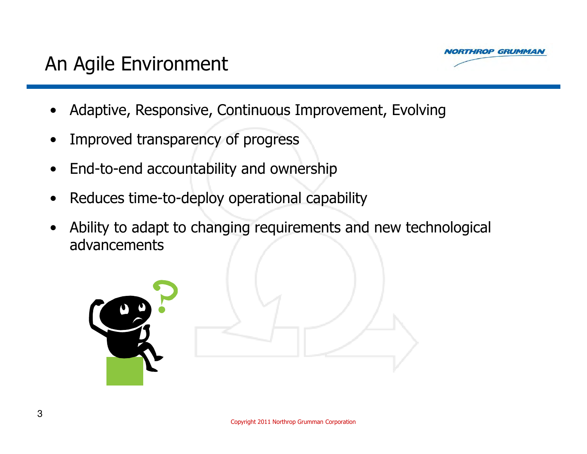

- •Adaptive, Responsive, Continuous Improvement, Evolving
- •Improved transparency of progress
- •End-to-end accountability and ownership
- •Reduces time-to-deploy operational capability
- • Ability to adapt to changing requirements and new technological advancements

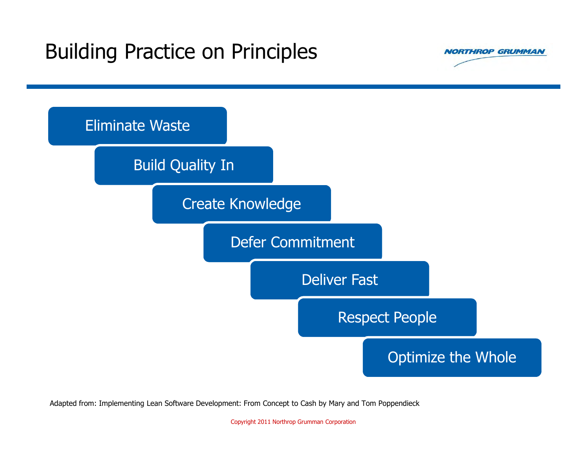# Building Practice on Principles





Adapted from: Implementing Lean Software Development: From Concept to Cash by Mary and Tom Poppendieck

Copyright 2011 Northrop Grumman Corporation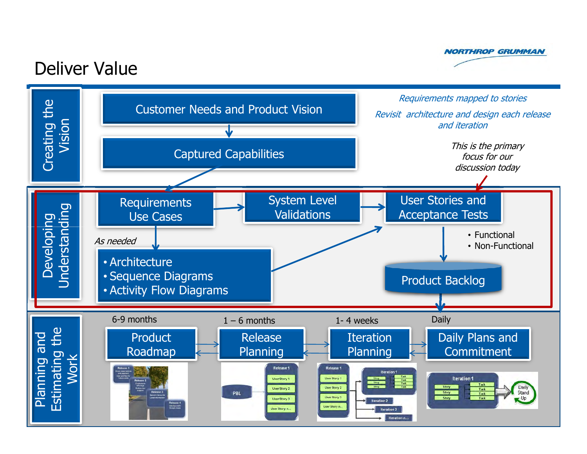

#### Deliver Value

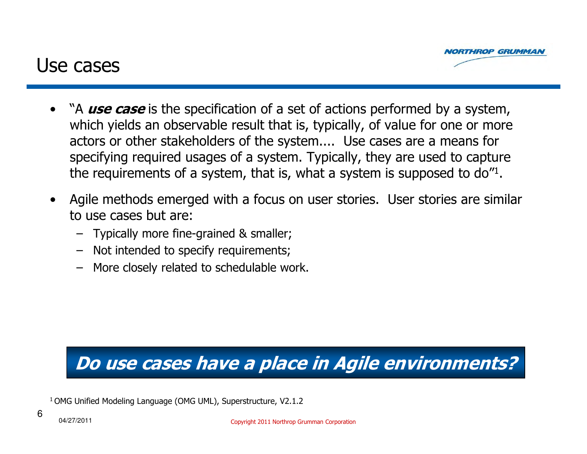

#### Use cases

- •"A use case is the specification of a set of actions performed by a system, which yields an observable result that is, typically, of value for one or more actors or other stakeholders of the system.... Use cases are a means for specifying required usages of a system. Typically, they are used to capture the requirements of a system, that is, what a system is supposed to do"<sup>1</sup>.
- • Agile methods emerged with a focus on user stories. User stories are similar to use cases but are:
	- Typically more fine-grained & smaller;
	-
	-

# - Not intended to specify requirements;<br>- More closely related to schedulable work.<br>**Do use cases have a place in Agile environments?**<br><sup>1</sup> OMG Unified Modeling Language (OMG UML), Superstructure, V2.1.2<br><sup>6</sup> 04/27/2011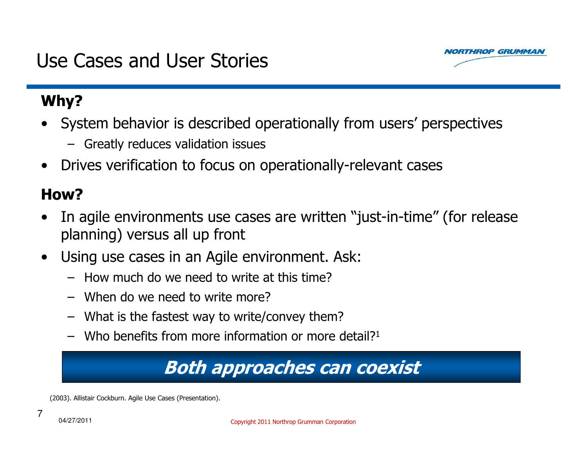#### Use Cases and User Stories

#### Why?

- • System behavior is described operationally from users' perspectives
	- Greatly reduces validation issues
- $\bullet$ Drives verification to focus on operationally-relevant cases

#### How?

- • In agile environments use cases are written "just-in-time" (for release planning) versus all up front
- $\bullet$  Using use cases in an Agile environment. Ask:
	- How much do we need to write at this time?
	- When do we need to write more?
	- –What is the fastest way to write/convey them?
	- Who benefits from more information or more detail? 1

# Both approaches can coexist

(2003). Allistair Cockburn. Agile Use Cases (Presentation).

7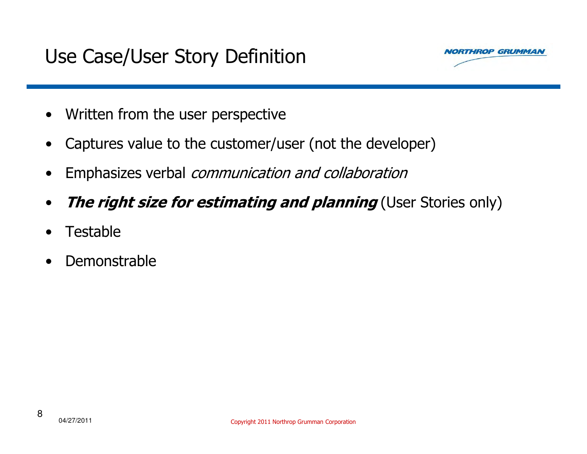

- $\bullet$ Written from the user perspective
- $\bullet$ Captures value to the customer/user (not the developer)
- $\bullet$ Emphasizes verbal communication and collaboration
- $\bullet$ The right size for estimating and planning (User Stories only)
- •Testable
- •Demonstrable

8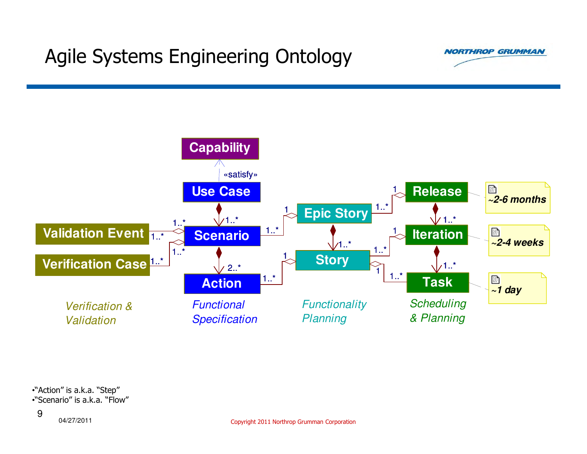# Agile Systems Engineering Ontology





•"Action" is a.k.a. "Step"•"Scenario" is a.k.a. "Flow"

04/27/20119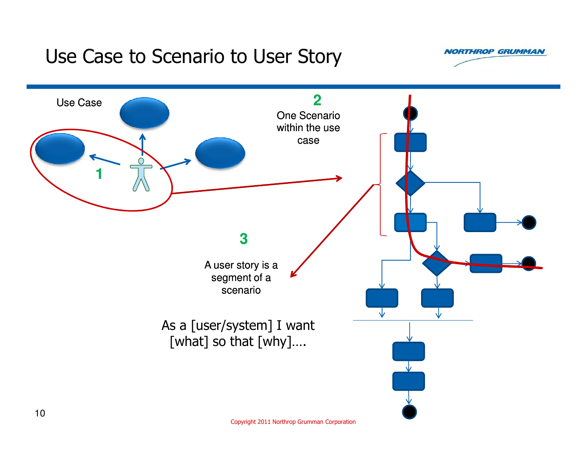#### Use Case to Scenario to User Story

**NORTHROP GRUMMAN** 



Copyright 2011 Northrop Grumman Corporation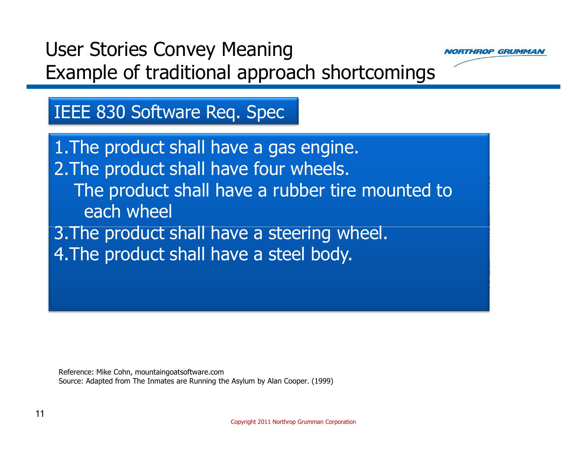# User Stories Convey MeaningExample of traditional approach shortcomings



#### IEEE 830 Software Req. Spec

1.The product shall have a gas engine.2.The product shall have four wheels.The product shall have a rubber tire mounted to each wheel3.The product shall have a steering wheel.4.The product shall have a steel body.

Reference: Mike Cohn, mountaingoatsoftware.comSource: Adapted from The Inmates are Running the Asylum by Alan Cooper. (1999)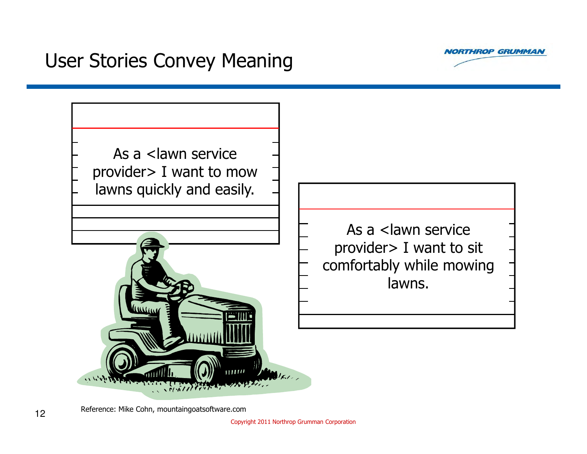

## User Stories Convey Meaning



As a <lawn service provider> I want to sit comfortably while mowing lawns.

Reference: Mike Cohn, mountaingoatsoftware.com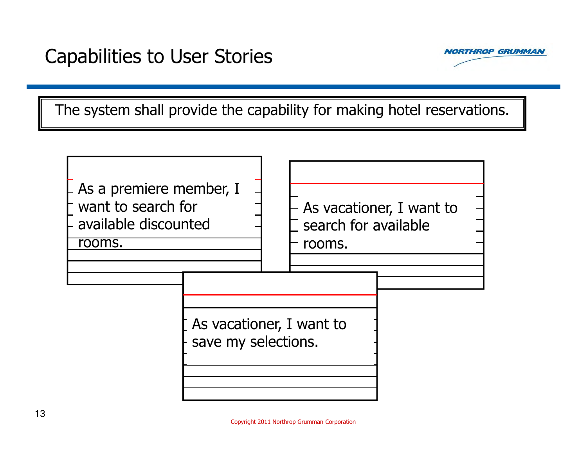

The system shall provide the capability for making hotel reservations.

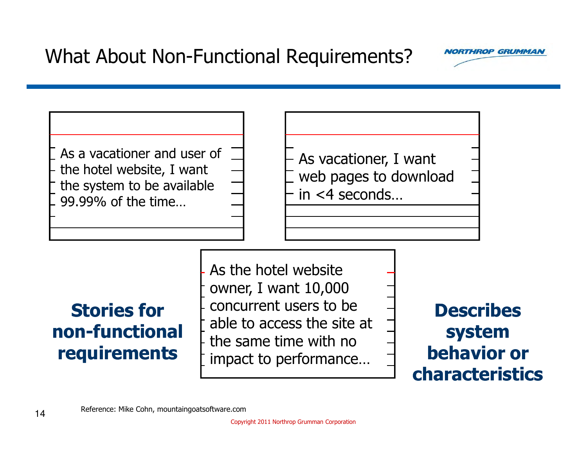

As a vacationer and user of the hotel website, I want the system to be available 99.99% of the time…

As vacationer, I want web pages to download in <4 seconds…

## Stories for non-functional requirements

As the hotel website owner, I want 10,000 concurrent users to be able to access the site at the same time with no impact to performance…

Describes system behavior or characteristics

Reference: Mike Cohn, mountaingoatsoftware.com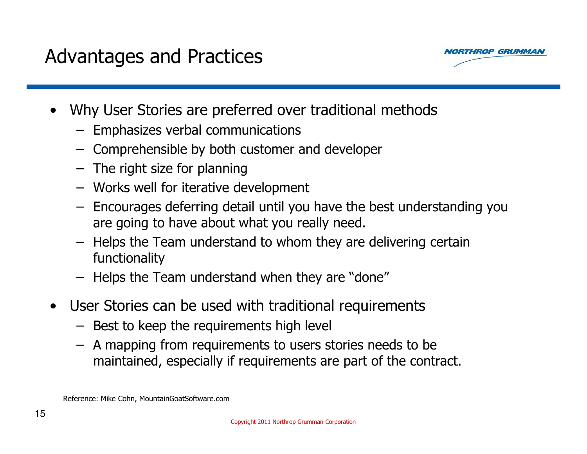

- • Why User Stories are preferred over traditional methods
	- Emphasizes verbal communications
	- Comprehensible by both customer and developer
	- The right size for planning<br>Merke well for iterative de
	- Works well for iterative development<br>Freeurases deferring detail until veu
	- Encourages deferring detail until you have the best understanding you<br>are going to have about what you really need are going to have about what you really need.
	- – Helps the Team understand to whom they are delivering certain functionality
	- Helps the Team understand when they are "done"
- $\bullet$  User Stories can be used with traditional requirements
	- Best to keep the requirements high level<br>A manning from requirements to users a
	- A mapping from requirements to users stories needs to be maintained, especially if requirements are part of the contract.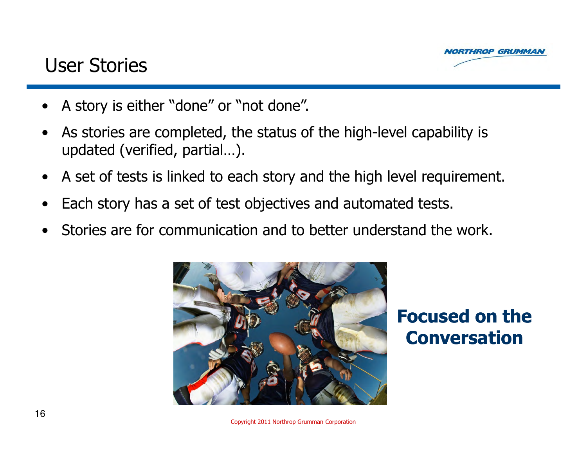

#### User Stories

- •A story is either "done" or "not done".
- • As stories are completed, the status of the high-level capability is updated (verified, partial…).
- $\bullet$ A set of tests is linked to each story and the high level requirement.
- $\bullet$ Each story has a set of test objectives and automated tests.
- •Stories are for communication and to better understand the work.



#### Focused on the Conversation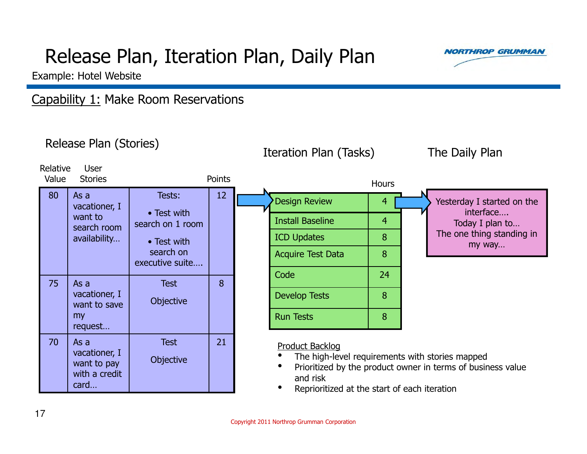# Release Plan, Iteration Plan, Daily Plan



Example: Hotel Website

#### Capability 1: Make Room Reservations

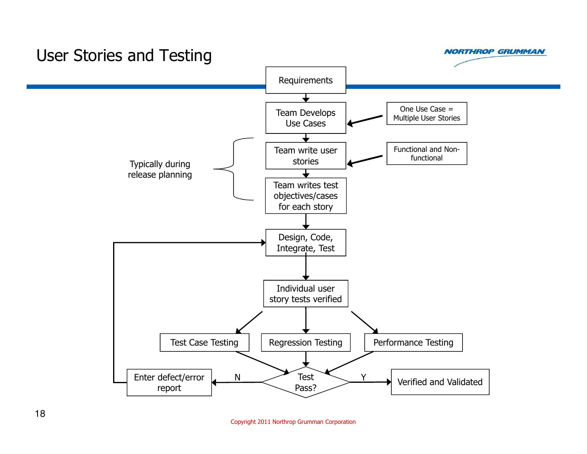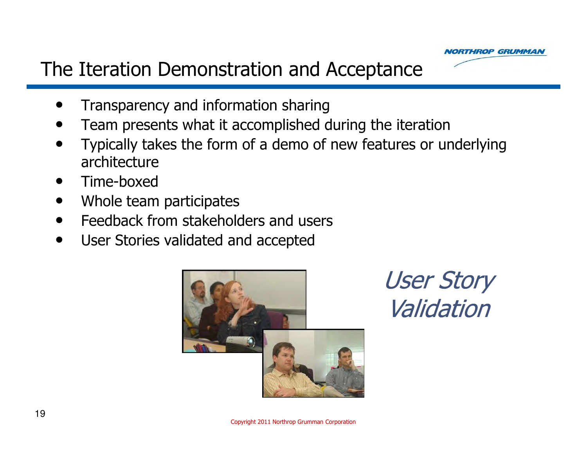

### The Iteration Demonstration and Acceptance

- •Transparency and information sharing
- **•** Team presents what it accomplished during the iteration •
- Typically takes the form of a demo of new features or underlying  $\bullet$ architecture
- Time-boxed  $\bullet$
- Whole team participates  $\bullet$
- •Feedback from stakeholders and users
- $\bullet$ User Stories validated and accepted



User Story Validation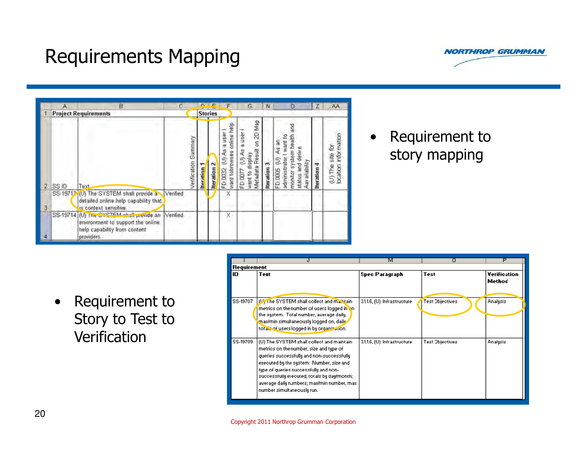



|   | А     | B<br><b>Project Requirements</b>                                                                                            | C.       |                      |                  | <b>Stories</b>        |                                                                     | G                                                                          | N           | o                                                                                                                       | Ζ          | AA                                                       |
|---|-------|-----------------------------------------------------------------------------------------------------------------------------|----------|----------------------|------------------|-----------------------|---------------------------------------------------------------------|----------------------------------------------------------------------------|-------------|-------------------------------------------------------------------------------------------------------------------------|------------|----------------------------------------------------------|
| 2 | SS ID | Text                                                                                                                        |          | Verification Summary | <b>Iteration</b> | Σ<br><b>Iteration</b> | help<br>user<br>anline<br>ò,<br>want tobrowses<br>ન<br>T<br>FD 0032 | Metadata Result on 2D Map<br>a user<br>E)<br>display<br>FD 0077<br>want to | Iteration 3 | ang<br>monitor system health<br>want to<br>As an<br>status and derive<br>administrator<br>FD 0005 (V)<br>Aav arlability | teration 4 | <b>information</b><br>卤<br>site<br>$(1)$ The<br>location |
| з |       | SS-19712 <sup>1</sup> (U) The SYSTEM shall provide a<br>detailed online help capability that<br>is context sensitive.       | Verified |                      |                  |                       |                                                                     |                                                                            |             |                                                                                                                         |            |                                                          |
|   |       | SS-19714 (U) The SYSTEM chall provide an<br>environment to support the online<br>help capability from content<br>providers. | Verified |                      |                  |                       | X                                                                   |                                                                            |             |                                                                                                                         |            |                                                          |

• Requirement to<br>story manning story mapping

• Requirement to Story to Test to Verification

|             |                                                                                                                                                                                                                                                                                                                                                     | м                           | ο                      | P                      |  |  |  |
|-------------|-----------------------------------------------------------------------------------------------------------------------------------------------------------------------------------------------------------------------------------------------------------------------------------------------------------------------------------------------------|-----------------------------|------------------------|------------------------|--|--|--|
| Requirement |                                                                                                                                                                                                                                                                                                                                                     |                             |                        |                        |  |  |  |
| ID          | Text                                                                                                                                                                                                                                                                                                                                                | <b>Spec Paragraph</b>       | Test                   | Verification<br>Method |  |  |  |
| SS-19707    | DV <sub>1</sub> The SYSTEM shall collect and maintain<br>metrics on the number of users logged in on<br>the system: Total number, average daily,<br>maximin simultaneously logged on, daily<br>totals of users logged in by organization.                                                                                                           | 3.1.1.6, (U) Infrastructure | <b>Test Objectives</b> | Analysis               |  |  |  |
| SS-19709    | (U) The SYSTEM shall collect and maintain.<br>metrics on the number, size and type of<br>queries successfully and non-successfully<br>executed by the system: Number, size and<br>type of queries successfully and non-<br>successfully executed; totals by day/month;<br>average daily numbers; maximin number, max-<br>number simultaneously run. | 31.1.6, (U) Infrastructure  | <b>Test Objectives</b> | Analysis               |  |  |  |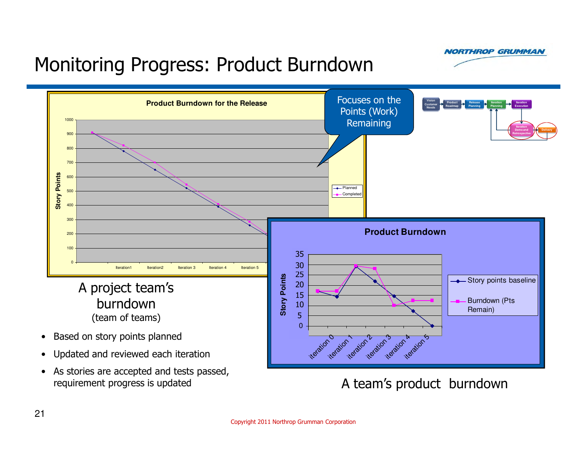**NORTHROP GRUMMAN** 

# Monitoring Progress: Product Burndown



A team's product burndown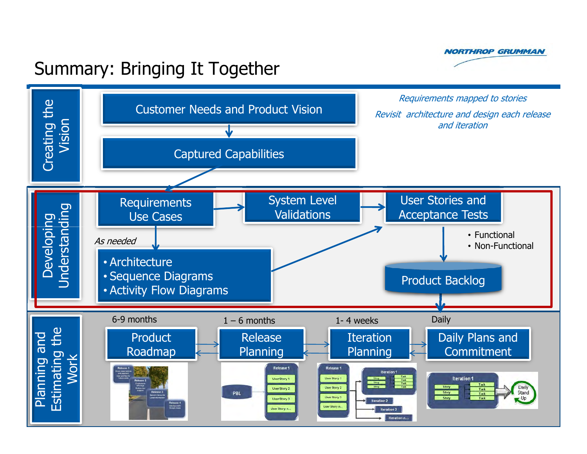

### Summary: Bringing It Together

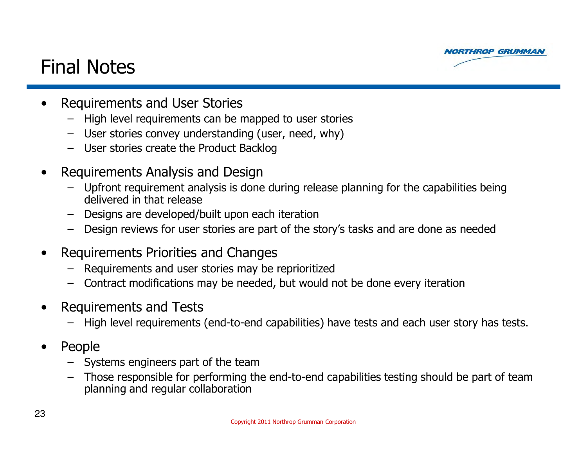

#### Final Notes

- $\bullet$  Requirements and User Stories
	- High level requirements can be mapped to user stories
	- User stories convey understanding (user, need, why)
	- User stories create the Product Backlog
- $\bullet$  Requirements Analysis and Design
	- – Upfront requirement analysis is done during release planning for the capabilities being delivered in that release
	- Designs are developed/built upon each iteration<br>– Design reviews for user stories are part of the s –
	- Design reviews for user stories are part of the story's tasks and are done as needed
- $\bullet$  Requirements Priorities and Changes
	- –Requirements and user stories may be reprioritized
	- –Contract modifications may be needed, but would not be done every iteration
- $\bullet$  Requirements and Tests
	- –High level requirements (end-to-end capabilities) have tests and each user story has tests.
- $\bullet$  People
	- Systems engineers part of the team<br>– Those responsible for performing th
	- Those responsible for performing the end-to-end capabilities testing should be part of team<br>planning and reqular collaboration planning and regular collaboration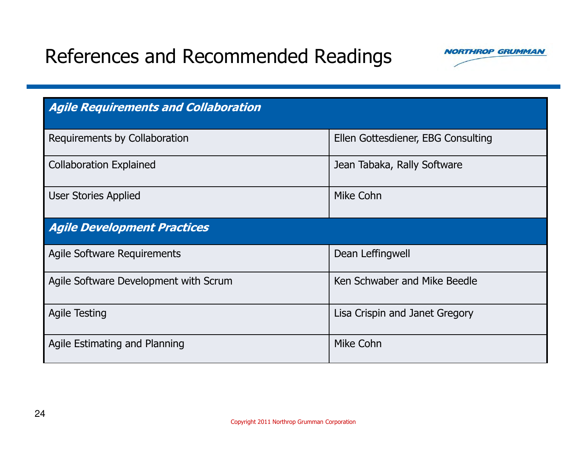# References and Recommended Readings



| <b>Agile Requirements and Collaboration</b> |                                    |  |  |  |  |
|---------------------------------------------|------------------------------------|--|--|--|--|
| Requirements by Collaboration               | Ellen Gottesdiener, EBG Consulting |  |  |  |  |
| <b>Collaboration Explained</b>              | Jean Tabaka, Rally Software        |  |  |  |  |
| <b>User Stories Applied</b>                 | Mike Cohn                          |  |  |  |  |
| <b>Agile Development Practices</b>          |                                    |  |  |  |  |
| <b>Agile Software Requirements</b>          | Dean Leffingwell                   |  |  |  |  |
| Agile Software Development with Scrum       | Ken Schwaber and Mike Beedle       |  |  |  |  |
| <b>Agile Testing</b>                        | Lisa Crispin and Janet Gregory     |  |  |  |  |
| Agile Estimating and Planning               | Mike Cohn                          |  |  |  |  |